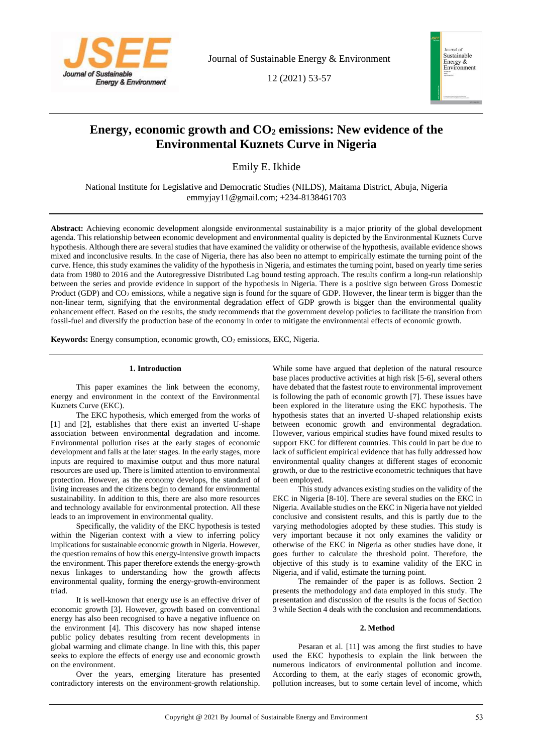

Journal of Sustainable Energy & Environment

12 (2021) 53-57



# **Energy, economic growth and CO<sup>2</sup> emissions: New evidence of the Environmental Kuznets Curve in Nigeria**

Emily E. Ikhide

National Institute for Legislative and Democratic Studies (NILDS), Maitama District, Abuja, Nigeria emmyjay11@gmail.com; +234-8138461703

**Abstract:** Achieving economic development alongside environmental sustainability is a major priority of the global development agenda. This relationship between economic development and environmental quality is depicted by the Environmental Kuznets Curve hypothesis. Although there are several studies that have examined the validity or otherwise of the hypothesis, available evidence shows mixed and inconclusive results. In the case of Nigeria, there has also been no attempt to empirically estimate the turning point of the curve. Hence, this study examines the validity of the hypothesis in Nigeria, and estimates the turning point, based on yearly time series data from 1980 to 2016 and the Autoregressive Distributed Lag bound testing approach. The results confirm a long-run relationship between the series and provide evidence in support of the hypothesis in Nigeria. There is a positive sign between Gross Domestic Product (GDP) and CO<sub>2</sub> emissions, while a negative sign is found for the square of GDP. However, the linear term is bigger than the non-linear term, signifying that the environmental degradation effect of GDP growth is bigger than the environmental quality enhancement effect. Based on the results, the study recommends that the government develop policies to facilitate the transition from fossil-fuel and diversify the production base of the economy in order to mitigate the environmental effects of economic growth.

**Keywords:** Energy consumption, economic growth, CO<sub>2</sub> emissions, EKC, Nigeria.

## **1. Introduction**

This paper examines the link between the economy, energy and environment in the context of the Environmental Kuznets Curve (EKC).

The EKC hypothesis, which emerged from the works of [1] and [2], establishes that there exist an inverted U-shape association between environmental degradation and income. Environmental pollution rises at the early stages of economic development and falls at the later stages. In the early stages, more inputs are required to maximise output and thus more natural resources are used up. There is limited attention to environmental protection. However, as the economy develops, the standard of living increases and the citizens begin to demand for environmental sustainability. In addition to this, there are also more resources and technology available for environmental protection. All these leads to an improvement in environmental quality.

Specifically, the validity of the EKC hypothesis is tested within the Nigerian context with a view to inferring policy implications for sustainable economic growth in Nigeria. However, the question remains of how this energy-intensive growth impacts the environment. This paper therefore extends the energy-growth nexus linkages to understanding how the growth affects environmental quality, forming the energy-growth-environment triad.

It is well-known that energy use is an effective driver of economic growth [3]. However, growth based on conventional energy has also been recognised to have a negative influence on the environment [4]. This discovery has now shaped intense public policy debates resulting from recent developments in global warming and climate change. In line with this, this paper seeks to explore the effects of energy use and economic growth on the environment.

Over the years, emerging literature has presented contradictory interests on the environment-growth relationship.

While some have argued that depletion of the natural resource base places productive activities at high risk [5-6], several others have debated that the fastest route to environmental improvement is following the path of economic growth [7]. These issues have been explored in the literature using the EKC hypothesis. The hypothesis states that an inverted U-shaped relationship exists between economic growth and environmental degradation. However, various empirical studies have found mixed results to support EKC for different countries. This could in part be due to lack of sufficient empirical evidence that has fully addressed how environmental quality changes at different stages of economic growth, or due to the restrictive econometric techniques that have been employed.

This study advances existing studies on the validity of the EKC in Nigeria [8-10]. There are several studies on the EKC in Nigeria. Available studies on the EKC in Nigeria have not yielded conclusive and consistent results, and this is partly due to the varying methodologies adopted by these studies. This study is very important because it not only examines the validity or otherwise of the EKC in Nigeria as other studies have done, it goes further to calculate the threshold point. Therefore, the objective of this study is to examine validity of the EKC in Nigeria, and if valid, estimate the turning point.

The remainder of the paper is as follows. Section 2 presents the methodology and data employed in this study. The presentation and discussion of the results is the focus of Section 3 while Section 4 deals with the conclusion and recommendations.

## **2. Method**

Pesaran et al. [11] was among the first studies to have used the EKC hypothesis to explain the link between the numerous indicators of environmental pollution and income. According to them, at the early stages of economic growth, pollution increases, but to some certain level of income, which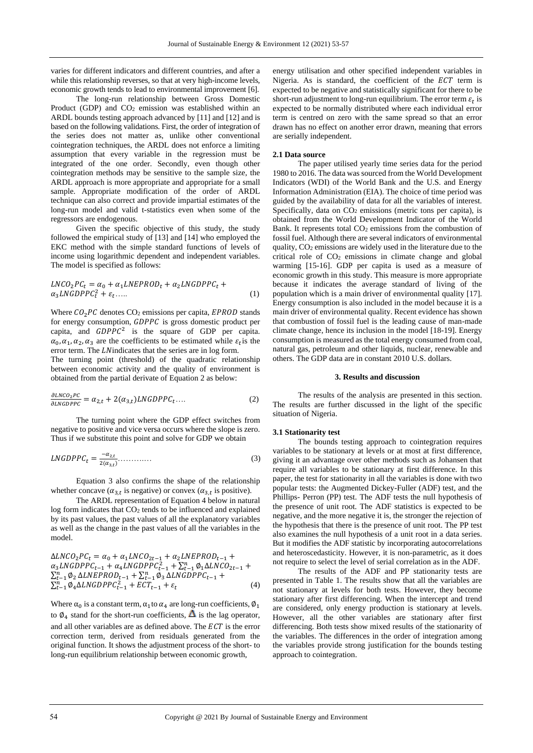varies for different indicators and different countries, and after a while this relationship reverses, so that at very high-income levels, economic growth tends to lead to environmental improvement [6].

The long-run relationship between Gross Domestic Product (GDP) and  $CO<sub>2</sub>$  emission was established within an ARDL bounds testing approach advanced by [11] and [12] and is based on the following validations. First, the order of integration of the series does not matter as, unlike other conventional cointegration techniques, the ARDL does not enforce a limiting assumption that every variable in the regression must be integrated of the one order. Secondly, even though other cointegration methods may be sensitive to the sample size, the ARDL approach is more appropriate and appropriate for a small sample. Appropriate modification of the order of ARDL technique can also correct and provide impartial estimates of the long-run model and valid t-statistics even when some of the regressors are endogenous.

Given the specific objective of this study, the study followed the empirical study of [13] and [14] who employed the EKC method with the simple standard functions of levels of income using logarithmic dependent and independent variables. The model is specified as follows:

$$
LNCO_2PC_t = \alpha_0 + \alpha_1 LNEPROD_t + \alpha_2 LNGDPPC_t + \alpha_3 LNGDPPC_t^2 + \varepsilon_t \dots \tag{1}
$$

Where  $CO<sub>2</sub>PC$  denotes  $CO<sub>2</sub>$  emissions per capita, *EPROD* stands for energy consumption, GDPPC is gross domestic product per capita, and  $GDPPC<sup>2</sup>$  is the square of GDP per capita.  $\alpha_0$ ,  $\alpha_1$ ,  $\alpha_2$ ,  $\alpha_3$  are the coefficients to be estimated while  $\varepsilon_t$  is the error term. The LN indicates that the series are in log form.

The turning point (threshold) of the quadratic relationship between economic activity and the quality of environment is obtained from the partial derivate of Equation 2 as below:

$$
\frac{\partial LNCO_2PC}{\partial LNGDPPC} = \alpha_{2,t} + 2(\alpha_{3,t})LNGDPPC_t.... \tag{2}
$$

The turning point where the GDP effect switches from negative to positive and vice versa occurs where the slope is zero. Thus if we substitute this point and solve for GDP we obtain

$$
LNGDPPC_t = \frac{-\alpha_{2,t}}{2(\alpha_{3,t})} \dots \dots \dots \dots \tag{3}
$$

Equation 3 also confirms the shape of the relationship whether concave ( $\alpha_{3,t}$  is negative) or convex ( $\alpha_{3,t}$  is positive).

The ARDL representation of Equation 4 below in natural  $log$  form indicates that  $CO<sub>2</sub>$  tends to be influenced and explained by its past values, the past values of all the explanatory variables as well as the change in the past values of all the variables in the model.

$$
\Delta LNCO_2PC_t = \alpha_0 + \alpha_1 LNCO_{2t-1} + \alpha_2 LNEPROD_{t-1} + \alpha_3 LNGDPPC_{t-1} + \alpha_4 LNGDPPC_{t-1}^2 + \sum_{t=1}^{n} \phi_1 \Delta LNCO_{2t-1} + \sum_{t=1}^{n} \phi_2 \Delta LNEPROD_{t-1} + \sum_{t=1}^{n} \phi_3 \Delta LNGDPPC_{t-1} + \sum_{t=1}^{n} \phi_4 \Delta LNGDPPC_{t-1}^2 + ECT_{t-1} + \varepsilon_t
$$
\n(4)

Where  $\alpha_0$  is a constant term,  $\alpha_1$  to  $\alpha_4$  are long-run coefficients,  $\phi_1$ to  $\emptyset_4$  stand for the short-run coefficients,  $\Delta$  is the lag operator, and all other variables are as defined above. The  $ECT$  is the error correction term, derived from residuals generated from the original function. It shows the adjustment process of the short- to long-run equilibrium relationship between economic growth,

energy utilisation and other specified independent variables in Nigeria. As is standard, the coefficient of the  $ECT$  term is expected to be negative and statistically significant for there to be short-run adjustment to long-run equilibrium. The error term  $\varepsilon_t$  is expected to be normally distributed where each individual error term is centred on zero with the same spread so that an error drawn has no effect on another error drawn, meaning that errors are serially independent.

### **2.1 Data source**

The paper utilised yearly time series data for the period 1980 to 2016. The data was sourced from the World Development Indicators (WDI) of the World Bank and the U.S. and Energy Information Administration (EIA). The choice of time period was guided by the availability of data for all the variables of interest. Specifically, data on CO<sub>2</sub> emissions (metric tons per capita), is obtained from the World Development Indicator of the World Bank. It represents total CO<sub>2</sub> emissions from the combustion of fossil fuel. Although there are several indicators of environmental quality,  $CO<sub>2</sub>$  emissions are widely used in the literature due to the critical role of CO<sup>2</sup> emissions in climate change and global warming [15-16]. GDP per capita is used as a measure of economic growth in this study. This measure is more appropriate because it indicates the average standard of living of the population which is a main driver of environmental quality [17]. Energy consumption is also included in the model because it is a main driver of environmental quality. Recent evidence has shown that combustion of fossil fuel is the leading cause of man-made climate change, hence its inclusion in the model [18-19]. Energy consumption is measured as the total energy consumed from coal, natural gas, petroleum and other liquids, nuclear, renewable and others. The GDP data are in constant 2010 U.S. dollars.

## **3. Results and discussion**

The results of the analysis are presented in this section. The results are further discussed in the light of the specific situation of Nigeria.

#### **3.1 Stationarity test**

The bounds testing approach to cointegration requires variables to be stationary at levels or at most at first difference, giving it an advantage over other methods such as Johansen that require all variables to be stationary at first difference. In this paper, the test for stationarity in all the variables is done with two popular tests: the Augmented Dickey-Fuller (ADF) test, and the Phillips- Perron (PP) test. The ADF tests the null hypothesis of the presence of unit root. The ADF statistics is expected to be negative, and the more negative it is, the stronger the rejection of the hypothesis that there is the presence of unit root. The PP test also examines the null hypothesis of a unit root in a data series. But it modifies the ADF statistic by incorporating autocorrelations and heteroscedasticity. However, it is non-parametric, as it does not require to select the level of serial correlation as in the ADF.

The results of the ADF and PP stationarity tests are presented in Table 1. The results show that all the variables are not stationary at levels for both tests. However, they become stationary after first differencing. When the intercept and trend are considered, only energy production is stationary at levels. However, all the other variables are stationary after first differencing. Both tests show mixed results of the stationarity of the variables. The differences in the order of integration among the variables provide strong justification for the bounds testing approach to cointegration.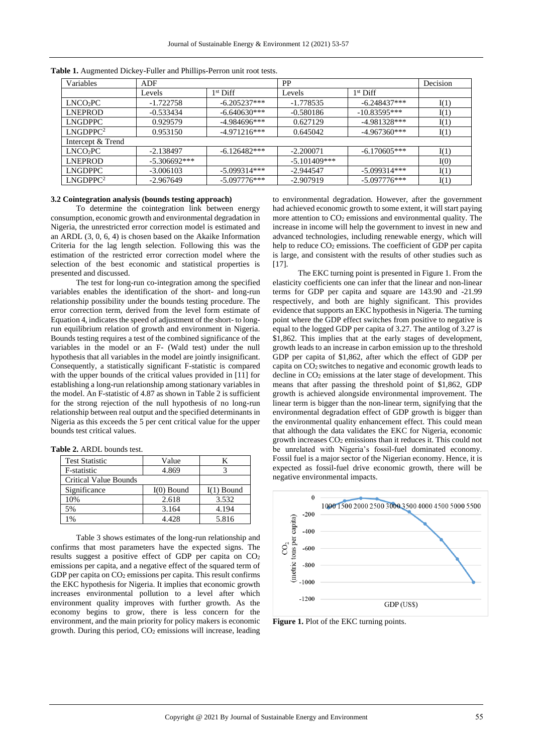| Variables            | ADF            |                | PP             |                | Decision |
|----------------------|----------------|----------------|----------------|----------------|----------|
|                      | Levels         | $1st$ Diff     | Levels         | $1st$ Diff     |          |
| LNCO <sub>2</sub> PC | $-1.722758$    | $-6.205237***$ | -1.778535      | $-6.248437***$ | I(1)     |
| LNEPROD              | $-0.533434$    | $-6.640630***$ | $-0.580186$    | $-10.83595***$ | I(1)     |
| <b>LNGDPPC</b>       | 0.929579       | $-4.984696***$ | 0.627129       | $-4.981328***$ | I(1)     |
| LNGDPPC <sup>2</sup> | 0.953150       | $-4.971216***$ | 0.645042       | $-4.967360***$ | I(1)     |
| Intercept & Trend    |                |                |                |                |          |
| LNCO <sub>2</sub> PC | $-2.138497$    | $-6.126482***$ | $-2.200071$    | $-6.170605***$ | I(1)     |
| <b>LNEPROD</b>       | $-5.306692***$ |                | $-5.101409***$ |                | I(0)     |
| <b>LNGDPPC</b>       | $-3.006103$    | -5.099314***   | $-2.944547$    | $-5.099314***$ | I(1)     |
| LNGDPPC <sup>2</sup> | $-2.967649$    | $-5.097776***$ | $-2.907919$    | $-5.097776***$ | I(1)     |

**Table 1.** Augmented Dickey-Fuller and Phillips-Perron unit root tests.

## **3.2 Cointegration analysis (bounds testing approach)**

To determine the cointegration link between energy consumption, economic growth and environmental degradation in Nigeria, the unrestricted error correction model is estimated and an ARDL (3, 0, 6, 4) is chosen based on the Akaike Information Criteria for the lag length selection. Following this was the estimation of the restricted error correction model where the selection of the best economic and statistical properties is presented and discussed.

The test for long-run co-integration among the specified variables enables the identification of the short- and long-run relationship possibility under the bounds testing procedure. The error correction term, derived from the level form estimate of Equation 4, indicates the speed of adjustment of the short- to longrun equilibrium relation of growth and environment in Nigeria. Bounds testing requires a test of the combined significance of the variables in the model or an F- (Wald test) under the null hypothesis that all variables in the model are jointly insignificant. Consequently, a statistically significant F-statistic is compared with the upper bounds of the critical values provided in [11] for establishing a long-run relationship among stationary variables in the model. An F-statistic of 4.87 as shown in Table 2 is sufficient for the strong rejection of the null hypothesis of no long-run relationship between real output and the specified determinants in Nigeria as this exceeds the 5 per cent critical value for the upper bounds test critical values.

| <b>Table 2. ARDL</b> bounds test. |  |
|-----------------------------------|--|
|-----------------------------------|--|

| <b>Test Statistic</b>        | Value        |              |  |
|------------------------------|--------------|--------------|--|
| F-statistic                  | 4.869        |              |  |
| <b>Critical Value Bounds</b> |              |              |  |
| Significance                 | $I(0)$ Bound | $I(1)$ Bound |  |
| 10%                          | 2.618        | 3.532        |  |
| 5%                           | 3.164        | 4.194        |  |
| $\frac{0}{0}$                | 4.428        | 5.816        |  |

Table 3 shows estimates of the long-run relationship and confirms that most parameters have the expected signs. The results suggest a positive effect of GDP per capita on CO<sup>2</sup> emissions per capita, and a negative effect of the squared term of GDP per capita on CO<sub>2</sub> emissions per capita. This result confirms the EKC hypothesis for Nigeria. It implies that economic growth increases environmental pollution to a level after which environment quality improves with further growth. As the economy begins to grow, there is less concern for the environment, and the main priority for policy makers is economic growth. During this period, CO<sup>2</sup> emissions will increase, leading

to environmental degradation. However, after the government had achieved economic growth to some extent, it will start paying more attention to CO<sup>2</sup> emissions and environmental quality. The increase in income will help the government to invest in new and advanced technologies, including renewable energy, which will help to reduce CO<sub>2</sub> emissions. The coefficient of GDP per capita is large, and consistent with the results of other studies such as [17].

The EKC turning point is presented in Figure 1. From the elasticity coefficients one can infer that the linear and non-linear terms for GDP per capita and square are 143.90 and -21.99 respectively, and both are highly significant. This provides evidence that supports an EKC hypothesis in Nigeria. The turning point where the GDP effect switches from positive to negative is equal to the logged GDP per capita of 3.27. The antilog of 3.27 is \$1,862. This implies that at the early stages of development, growth leads to an increase in carbon emission up to the threshold GDP per capita of \$1,862, after which the effect of GDP per capita on CO2 switches to negative and economic growth leads to decline in CO<sub>2</sub> emissions at the later stage of development. This means that after passing the threshold point of \$1,862, GDP growth is achieved alongside environmental improvement. The linear term is bigger than the non-linear term, signifying that the environmental degradation effect of GDP growth is bigger than the environmental quality enhancement effect. This could mean that although the data validates the EKC for Nigeria, economic growth increases CO<sup>2</sup> emissions than it reduces it. This could not be unrelated with Nigeria's fossil-fuel dominated economy. Fossil fuel is a major sector of the Nigerian economy. Hence, it is expected as fossil-fuel drive economic growth, there will be negative environmental impacts.



Figure 1. Plot of the EKC turning points.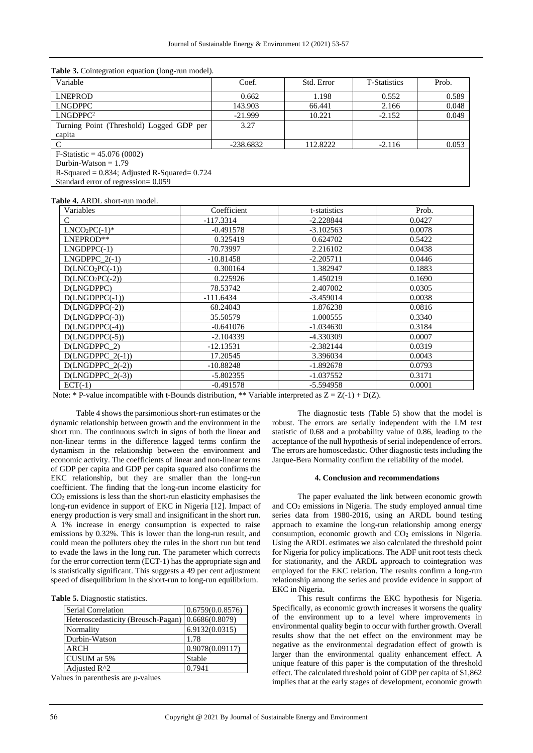| Variable                                           | Coef.       | Std. Error | <b>T-Statistics</b> | Prob. |
|----------------------------------------------------|-------------|------------|---------------------|-------|
| <b>LNEPROD</b>                                     | 0.662       | 1.198      | 0.552               | 0.589 |
| <b>LNGDPPC</b>                                     | 143.903     | 66.441     | 2.166               | 0.048 |
| LNGDPPC <sup>2</sup>                               | $-21.999$   | 10.221     | $-2.152$            | 0.049 |
| Turning Point (Threshold) Logged GDP per           | 3.27        |            |                     |       |
| capita                                             |             |            |                     |       |
|                                                    | $-238.6832$ | 112,8222   | $-2.116$            | 0.053 |
| $F-Statistic = 45.076(0002)$                       |             |            |                     |       |
| Durbin-Watson $= 1.79$                             |             |            |                     |       |
| R-Squared = $0.834$ ; Adjusted R-Squared = $0.724$ |             |            |                     |       |
| Standard error of regression= 0.059                |             |            |                     |       |

#### **Table 3.** Cointegration equation (long-run model).

**Table 4.** ARDL short-run model.

| Variables          | Coefficient | t-statistics | Prob.  |
|--------------------|-------------|--------------|--------|
| C                  | $-117.3314$ | $-2.228844$  | 0.0427 |
| $LNCO2PC(-1)*$     | $-0.491578$ | $-3.102563$  | 0.0078 |
| LNEPROD**          | 0.325419    | 0.624702     | 0.5422 |
| $LNGDPPC(-1)$      | 70.73997    | 2.216102     | 0.0438 |
| $LNGDPPC_2(-1)$    | $-10.81458$ | $-2.205711$  | 0.0446 |
| $D(LNCO2PC(-1))$   | 0.300164    | 1.382947     | 0.1883 |
| $D(LNCO2PC(-2))$   | 0.225926    | 1.450219     | 0.1690 |
| D(LNGDPPC)         | 78.53742    | 2.407002     | 0.0305 |
| $D(LNGDPPC(-1))$   | $-111.6434$ | $-3.459014$  | 0.0038 |
| $D(LNGDPPC(-2))$   | 68.24043    | 1.876238     | 0.0816 |
| $D(LNGDPPC(-3))$   | 35.50579    | 1.000555     | 0.3340 |
| $D(LNGDPPC(-4))$   | $-0.641076$ | $-1.034630$  | 0.3184 |
| $D(LNGDPPC(-5))$   | $-2.104339$ | -4.330309    | 0.0007 |
| D(LNGDPPC_2)       | $-12.13531$ | $-2.382144$  | 0.0319 |
| $D(LNGDPPC_2(-1))$ | 17.20545    | 3.396034     | 0.0043 |
| $D(LNGDPPC_2(-2))$ | $-10.88248$ | $-1.892678$  | 0.0793 |
| $D(LNGDPPC_2(-3))$ | $-5.802355$ | $-1.037552$  | 0.3171 |
| $ECT(-1)$          | $-0.491578$ | $-5.594958$  | 0.0001 |

Note: \* P-value incompatible with t-Bounds distribution, \*\* Variable interpreted as  $Z = Z(-1) + D(Z)$ .

Table 4 shows the parsimonious short-run estimates or the dynamic relationship between growth and the environment in the short run. The continuous switch in signs of both the linear and non-linear terms in the difference lagged terms confirm the dynamism in the relationship between the environment and economic activity. The coefficients of linear and non-linear terms of GDP per capita and GDP per capita squared also confirms the EKC relationship, but they are smaller than the long-run coefficient. The finding that the long-run income elasticity for CO<sup>2</sup> emissions is less than the short-run elasticity emphasises the long-run evidence in support of EKC in Nigeria [12]. Impact of energy production is very small and insignificant in the short run. A 1% increase in energy consumption is expected to raise emissions by 0.32%. This is lower than the long-run result, and could mean the polluters obey the rules in the short run but tend to evade the laws in the long run. The parameter which corrects for the error correction term (ECT-1) has the appropriate sign and is statistically significant. This suggests a 49 per cent adjustment speed of disequilibrium in the short-run to long-run equilibrium.

|  | <b>Table 5.</b> Diagnostic statistics. |  |
|--|----------------------------------------|--|
|--|----------------------------------------|--|

| <b>Serial Correlation</b>                           | 0.6759(0.0.8576) |
|-----------------------------------------------------|------------------|
| Heteroscedasticity (Breusch-Pagan)   0.6686(0.8079) |                  |
| Normality                                           | 6.9132(0.0315)   |
| Durbin-Watson                                       | 1.78             |
| <b>ARCH</b>                                         | 0.9078(0.09117)  |
| CUSUM at 5%                                         | Stable           |
| Adjusted $R^2$                                      | 0.7941           |

Values in parenthesis are *p*-values

The diagnostic tests (Table 5) show that the model is robust. The errors are serially independent with the LM test statistic of 0.68 and a probability value of 0.86, leading to the acceptance of the null hypothesis of serial independence of errors. The errors are homoscedastic. Other diagnostic tests including the Jarque-Bera Normality confirm the reliability of the model.

#### **4. Conclusion and recommendations**

The paper evaluated the link between economic growth and CO<sup>2</sup> emissions in Nigeria. The study employed annual time series data from 1980-2016, using an ARDL bound testing approach to examine the long-run relationship among energy consumption, economic growth and CO<sup>2</sup> emissions in Nigeria. Using the ARDL estimates we also calculated the threshold point for Nigeria for policy implications. The ADF unit root tests check for stationarity, and the ARDL approach to cointegration was employed for the EKC relation. The results confirm a long-run relationship among the series and provide evidence in support of EKC in Nigeria.

This result confirms the EKC hypothesis for Nigeria. Specifically, as economic growth increases it worsens the quality of the environment up to a level where improvements in environmental quality begin to occur with further growth. Overall results show that the net effect on the environment may be negative as the environmental degradation effect of growth is larger than the environmental quality enhancement effect. A unique feature of this paper is the computation of the threshold effect. The calculated threshold point of GDP per capita of \$1,862 implies that at the early stages of development, economic growth